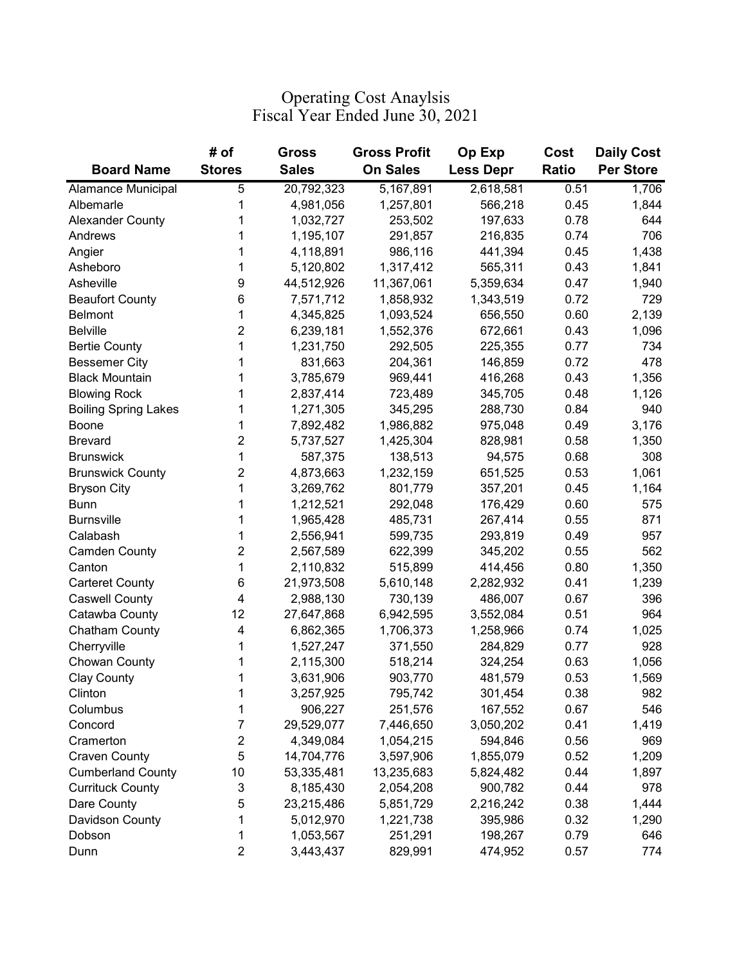## Operating Cost Anaylsis Fiscal Year Ended June 30, 2021

| <b>Board Name</b>           | # of<br><b>Stores</b> | Gross<br><b>Sales</b> | <b>Gross Profit</b><br><b>On Sales</b> | Op Exp<br><b>Less Depr</b> | Cost<br><b>Ratio</b> | <b>Daily Cost</b><br><b>Per Store</b> |
|-----------------------------|-----------------------|-----------------------|----------------------------------------|----------------------------|----------------------|---------------------------------------|
| Alamance Municipal          | 5                     | 20,792,323            | 5,167,891                              | 2,618,581                  | 0.51                 | 1,706                                 |
| Albemarle                   | 1                     | 4,981,056             | 1,257,801                              | 566,218                    | 0.45                 | 1,844                                 |
| <b>Alexander County</b>     | 1                     | 1,032,727             | 253,502                                | 197,633                    | 0.78                 | 644                                   |
| Andrews                     | 1                     | 1,195,107             | 291,857                                | 216,835                    | 0.74                 | 706                                   |
|                             | 1                     |                       |                                        | 441,394                    | 0.45                 |                                       |
| Angier                      |                       | 4,118,891             | 986,116                                |                            | 0.43                 | 1,438                                 |
| Asheboro                    | 1<br>9                | 5,120,802             | 1,317,412                              | 565,311                    |                      | 1,841                                 |
| Asheville                   |                       | 44,512,926            | 11,367,061                             | 5,359,634                  | 0.47                 | 1,940                                 |
| <b>Beaufort County</b>      | 6                     | 7,571,712             | 1,858,932                              | 1,343,519                  | 0.72                 | 729                                   |
| <b>Belmont</b>              | 1                     | 4,345,825             | 1,093,524                              | 656,550                    | 0.60                 | 2,139                                 |
| <b>Belville</b>             | $\overline{2}$        | 6,239,181             | 1,552,376                              | 672,661                    | 0.43                 | 1,096                                 |
| <b>Bertie County</b>        | 1                     | 1,231,750             | 292,505                                | 225,355                    | 0.77                 | 734                                   |
| <b>Bessemer City</b>        | 1                     | 831,663               | 204,361                                | 146,859                    | 0.72                 | 478                                   |
| <b>Black Mountain</b>       | 1                     | 3,785,679             | 969,441                                | 416,268                    | 0.43                 | 1,356                                 |
| <b>Blowing Rock</b>         | 1                     | 2,837,414             | 723,489                                | 345,705                    | 0.48                 | 1,126                                 |
| <b>Boiling Spring Lakes</b> | 1                     | 1,271,305             | 345,295                                | 288,730                    | 0.84                 | 940                                   |
| Boone                       | 1                     | 7,892,482             | 1,986,882                              | 975,048                    | 0.49                 | 3,176                                 |
| <b>Brevard</b>              | $\overline{2}$        | 5,737,527             | 1,425,304                              | 828,981                    | 0.58                 | 1,350                                 |
| <b>Brunswick</b>            | 1                     | 587,375               | 138,513                                | 94,575                     | 0.68                 | 308                                   |
| <b>Brunswick County</b>     | $\overline{2}$        | 4,873,663             | 1,232,159                              | 651,525                    | 0.53                 | 1,061                                 |
| <b>Bryson City</b>          | 1                     | 3,269,762             | 801,779                                | 357,201                    | 0.45                 | 1,164                                 |
| <b>Bunn</b>                 | 1                     | 1,212,521             | 292,048                                | 176,429                    | 0.60                 | 575                                   |
| <b>Burnsville</b>           | 1                     | 1,965,428             | 485,731                                | 267,414                    | 0.55                 | 871                                   |
| Calabash                    | 1                     | 2,556,941             | 599,735                                | 293,819                    | 0.49                 | 957                                   |
| <b>Camden County</b>        | $\overline{c}$        | 2,567,589             | 622,399                                | 345,202                    | 0.55                 | 562                                   |
| Canton                      | 1                     | 2,110,832             | 515,899                                | 414,456                    | 0.80                 | 1,350                                 |
| <b>Carteret County</b>      | 6                     | 21,973,508            | 5,610,148                              | 2,282,932                  | 0.41                 | 1,239                                 |
| <b>Caswell County</b>       | 4                     | 2,988,130             | 730,139                                | 486,007                    | 0.67                 | 396                                   |
| Catawba County              | 12                    | 27,647,868            | 6,942,595                              | 3,552,084                  | 0.51                 | 964                                   |
| Chatham County              | 4                     | 6,862,365             | 1,706,373                              | 1,258,966                  | 0.74                 | 1,025                                 |
| Cherryville                 | 1                     | 1,527,247             | 371,550                                | 284,829                    | 0.77                 | 928                                   |
| Chowan County               | 1                     | 2,115,300             | 518,214                                | 324,254                    | 0.63                 | 1,056                                 |
| <b>Clay County</b>          | 1                     | 3,631,906             | 903,770                                | 481,579                    | 0.53                 | 1,569                                 |
| Clinton                     | 1                     | 3,257,925             | 795,742                                | 301,454                    | 0.38                 | 982                                   |
| Columbus                    | 1                     | 906,227               | 251,576                                | 167,552                    | 0.67                 | 546                                   |
| Concord                     | $\overline{7}$        | 29,529,077            | 7,446,650                              | 3,050,202                  | 0.41                 | 1,419                                 |
| Cramerton                   | $\overline{c}$        | 4,349,084             | 1,054,215                              | 594,846                    | 0.56                 | 969                                   |
| <b>Craven County</b>        | 5                     | 14,704,776            | 3,597,906                              | 1,855,079                  | 0.52                 | 1,209                                 |
| <b>Cumberland County</b>    | 10                    | 53,335,481            | 13,235,683                             | 5,824,482                  | 0.44                 | 1,897                                 |
| <b>Currituck County</b>     | 3                     | 8,185,430             | 2,054,208                              | 900,782                    | 0.44                 | 978                                   |
| Dare County                 | 5                     | 23,215,486            | 5,851,729                              | 2,216,242                  | 0.38                 | 1,444                                 |
| Davidson County             | 1                     | 5,012,970             | 1,221,738                              | 395,986                    | 0.32                 | 1,290                                 |
| Dobson                      | 1                     | 1,053,567             | 251,291                                | 198,267                    | 0.79                 | 646                                   |
| Dunn                        | $\overline{c}$        | 3,443,437             | 829,991                                | 474,952                    | 0.57                 | 774                                   |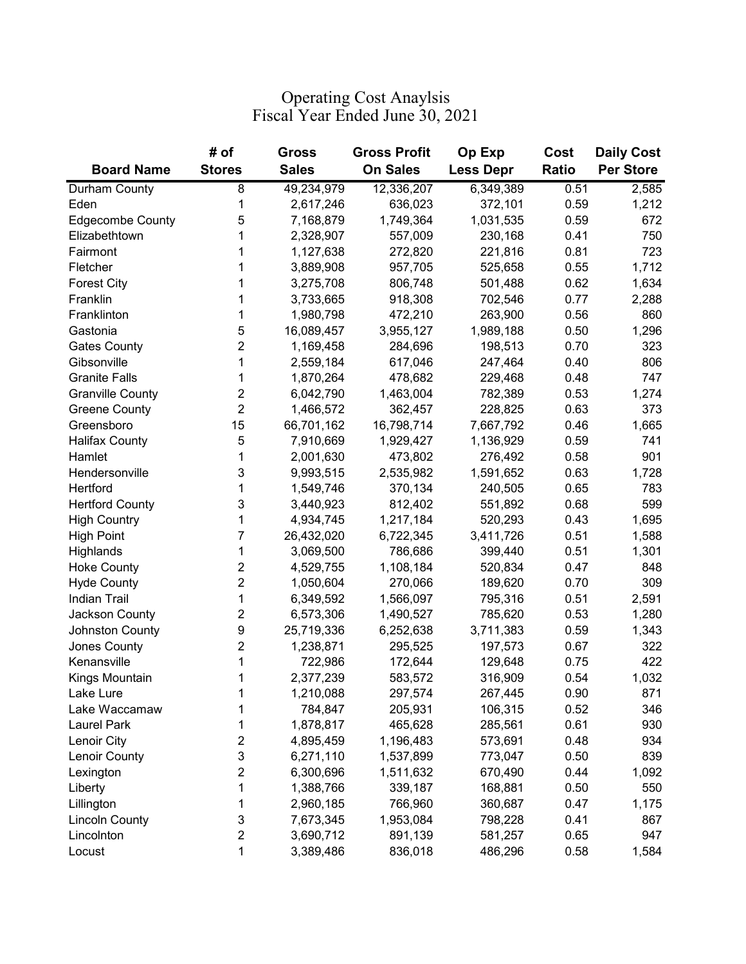## Operating Cost Anaylsis Fiscal Year Ended June 30, 2021

|                         | # of           | Gross        | <b>Gross Profit</b> | Op Exp           | Cost         | <b>Daily Cost</b> |
|-------------------------|----------------|--------------|---------------------|------------------|--------------|-------------------|
| <b>Board Name</b>       | <b>Stores</b>  | <b>Sales</b> | <b>On Sales</b>     | <b>Less Depr</b> | <b>Ratio</b> | <b>Per Store</b>  |
| Durham County           | 8              | 49,234,979   | 12,336,207          | 6,349,389        | 0.51         | 2,585             |
| Eden                    | 1              | 2,617,246    | 636,023             | 372,101          | 0.59         | 1,212             |
| <b>Edgecombe County</b> | 5              | 7,168,879    | 1,749,364           | 1,031,535        | 0.59         | 672               |
| Elizabethtown           | 1              | 2,328,907    | 557,009             | 230,168          | 0.41         | 750               |
| Fairmont                | 1              | 1,127,638    | 272,820             | 221,816          | 0.81         | 723               |
| Fletcher                | 1              | 3,889,908    | 957,705             | 525,658          | 0.55         | 1,712             |
| <b>Forest City</b>      | 1              | 3,275,708    | 806,748             | 501,488          | 0.62         | 1,634             |
| Franklin                | 1              | 3,733,665    | 918,308             | 702,546          | 0.77         | 2,288             |
| Franklinton             | 1              | 1,980,798    | 472,210             | 263,900          | 0.56         | 860               |
| Gastonia                | 5              | 16,089,457   | 3,955,127           | 1,989,188        | 0.50         | 1,296             |
| <b>Gates County</b>     | $\overline{2}$ | 1,169,458    | 284,696             | 198,513          | 0.70         | 323               |
| Gibsonville             | 1              | 2,559,184    | 617,046             | 247,464          | 0.40         | 806               |
| <b>Granite Falls</b>    | 1              | 1,870,264    | 478,682             | 229,468          | 0.48         | 747               |
| <b>Granville County</b> | $\overline{2}$ | 6,042,790    | 1,463,004           | 782,389          | 0.53         | 1,274             |
| <b>Greene County</b>    | $\overline{2}$ | 1,466,572    | 362,457             | 228,825          | 0.63         | 373               |
| Greensboro              | 15             | 66,701,162   | 16,798,714          | 7,667,792        | 0.46         | 1,665             |
| <b>Halifax County</b>   | 5              | 7,910,669    | 1,929,427           | 1,136,929        | 0.59         | 741               |
| Hamlet                  | 1              | 2,001,630    | 473,802             | 276,492          | 0.58         | 901               |
| Hendersonville          | 3              | 9,993,515    | 2,535,982           | 1,591,652        | 0.63         | 1,728             |
| Hertford                | 1              | 1,549,746    | 370,134             | 240,505          | 0.65         | 783               |
| <b>Hertford County</b>  | 3              | 3,440,923    | 812,402             | 551,892          | 0.68         | 599               |
| <b>High Country</b>     | 1              | 4,934,745    | 1,217,184           | 520,293          | 0.43         | 1,695             |
| <b>High Point</b>       | 7              | 26,432,020   | 6,722,345           | 3,411,726        | 0.51         | 1,588             |
| Highlands               | 1              | 3,069,500    | 786,686             | 399,440          | 0.51         | 1,301             |
| <b>Hoke County</b>      | $\overline{c}$ | 4,529,755    | 1,108,184           | 520,834          | 0.47         | 848               |
| <b>Hyde County</b>      | $\overline{2}$ | 1,050,604    | 270,066             | 189,620          | 0.70         | 309               |
| <b>Indian Trail</b>     | 1              | 6,349,592    | 1,566,097           | 795,316          | 0.51         | 2,591             |
| Jackson County          | $\overline{2}$ | 6,573,306    | 1,490,527           | 785,620          | 0.53         | 1,280             |
| Johnston County         | 9              | 25,719,336   | 6,252,638           | 3,711,383        | 0.59         | 1,343             |
| Jones County            | $\overline{2}$ | 1,238,871    | 295,525             | 197,573          | 0.67         | 322               |
| Kenansville             | 1              | 722,986      | 172,644             | 129,648          | 0.75         | 422               |
| Kings Mountain          | 1              | 2,377,239    | 583,572             | 316,909          | 0.54         | 1,032             |
| Lake Lure               | 1              | 1,210,088    | 297,574             | 267,445          | 0.90         | 871               |
| Lake Waccamaw           | 1              | 784,847      | 205,931             | 106,315          | 0.52         | 346               |
| <b>Laurel Park</b>      | 1              | 1,878,817    | 465,628             | 285,561          | 0.61         | 930               |
| Lenoir City             | $\overline{c}$ | 4,895,459    | 1,196,483           | 573,691          | 0.48         | 934               |
| Lenoir County           | 3              | 6,271,110    | 1,537,899           | 773,047          | 0.50         | 839               |
| Lexington               | $\overline{2}$ | 6,300,696    | 1,511,632           | 670,490          | 0.44         | 1,092             |
| Liberty                 | 1              | 1,388,766    | 339,187             | 168,881          | 0.50         | 550               |
| Lillington              | 1              | 2,960,185    | 766,960             | 360,687          | 0.47         | 1,175             |
| <b>Lincoln County</b>   | 3              | 7,673,345    | 1,953,084           | 798,228          | 0.41         | 867               |
| Lincolnton              | $\overline{c}$ | 3,690,712    | 891,139             | 581,257          | 0.65         | 947               |
| Locust                  | 1              | 3,389,486    | 836,018             | 486,296          | 0.58         | 1,584             |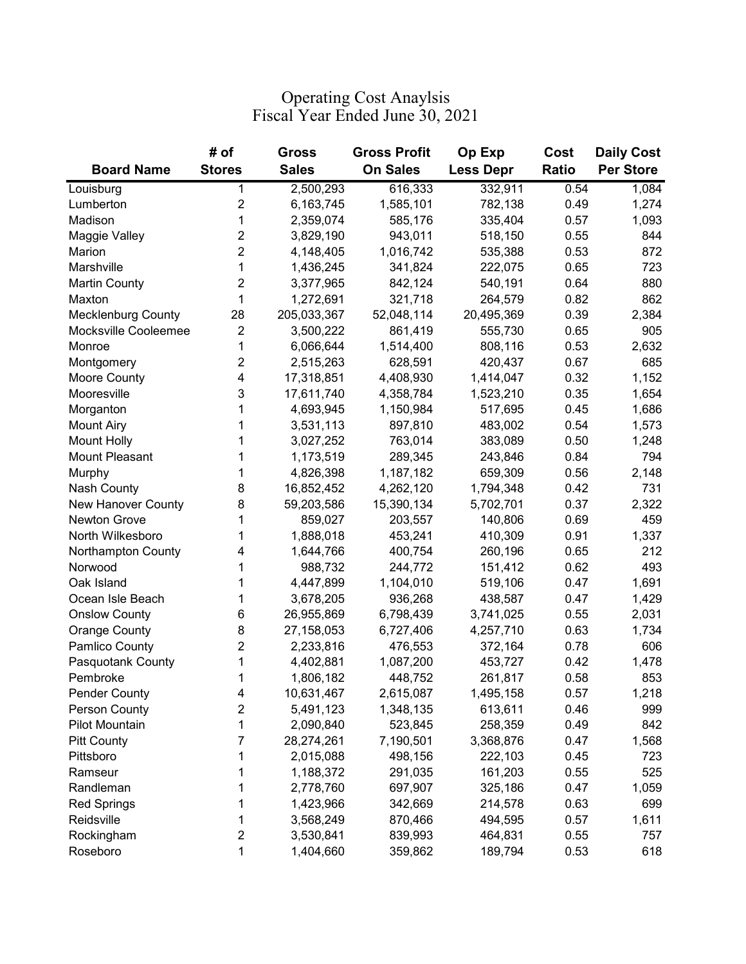## Fiscal Year Ended June 30, 2021 Operating Cost Anaylsis

|                           | # of             | Gross        | <b>Gross Profit</b> | Op Exp           | Cost         | <b>Daily Cost</b> |
|---------------------------|------------------|--------------|---------------------|------------------|--------------|-------------------|
| <b>Board Name</b>         | <b>Stores</b>    | <b>Sales</b> | <b>On Sales</b>     | <b>Less Depr</b> | <b>Ratio</b> | <b>Per Store</b>  |
| Louisburg                 | 1                | 2,500,293    | 616,333             | 332,911          | 0.54         | 1,084             |
| Lumberton                 | $\overline{2}$   | 6,163,745    | 1,585,101           | 782,138          | 0.49         | 1,274             |
| Madison                   | 1                | 2,359,074    | 585,176             | 335,404          | 0.57         | 1,093             |
| Maggie Valley             | $\overline{c}$   | 3,829,190    | 943,011             | 518,150          | 0.55         | 844               |
| Marion                    | $\overline{2}$   | 4,148,405    | 1,016,742           | 535,388          | 0.53         | 872               |
| Marshville                | $\mathbf{1}$     | 1,436,245    | 341,824             | 222,075          | 0.65         | 723               |
| <b>Martin County</b>      | $\overline{2}$   | 3,377,965    | 842,124             | 540,191          | 0.64         | 880               |
| Maxton                    | 1                | 1,272,691    | 321,718             | 264,579          | 0.82         | 862               |
| <b>Mecklenburg County</b> | 28               | 205,033,367  | 52,048,114          | 20,495,369       | 0.39         | 2,384             |
| Mocksville Cooleemee      | $\boldsymbol{2}$ | 3,500,222    | 861,419             | 555,730          | 0.65         | 905               |
| Monroe                    | 1                | 6,066,644    | 1,514,400           | 808,116          | 0.53         | 2,632             |
| Montgomery                | $\overline{2}$   | 2,515,263    | 628,591             | 420,437          | 0.67         | 685               |
| Moore County              | 4                | 17,318,851   | 4,408,930           | 1,414,047        | 0.32         | 1,152             |
| Mooresville               | 3                | 17,611,740   | 4,358,784           | 1,523,210        | 0.35         | 1,654             |
| Morganton                 | 1                | 4,693,945    | 1,150,984           | 517,695          | 0.45         | 1,686             |
| <b>Mount Airy</b>         | 1                | 3,531,113    | 897,810             | 483,002          | 0.54         | 1,573             |
| <b>Mount Holly</b>        | 1                | 3,027,252    | 763,014             | 383,089          | 0.50         | 1,248             |
| Mount Pleasant            | 1                | 1,173,519    | 289,345             | 243,846          | 0.84         | 794               |
| Murphy                    | 1                | 4,826,398    | 1,187,182           | 659,309          | 0.56         | 2,148             |
| Nash County               | 8                | 16,852,452   | 4,262,120           | 1,794,348        | 0.42         | 731               |
| New Hanover County        | 8                | 59,203,586   | 15,390,134          | 5,702,701        | 0.37         | 2,322             |
| Newton Grove              | 1                | 859,027      | 203,557             | 140,806          | 0.69         | 459               |
| North Wilkesboro          | 1                | 1,888,018    | 453,241             | 410,309          | 0.91         | 1,337             |
| Northampton County        | 4                | 1,644,766    | 400,754             | 260,196          | 0.65         | 212               |
| Norwood                   | 1                | 988,732      | 244,772             | 151,412          | 0.62         | 493               |
| Oak Island                | 1                | 4,447,899    | 1,104,010           | 519,106          | 0.47         | 1,691             |
| Ocean Isle Beach          | 1                | 3,678,205    | 936,268             | 438,587          | 0.47         | 1,429             |
| <b>Onslow County</b>      | 6                | 26,955,869   | 6,798,439           | 3,741,025        | 0.55         | 2,031             |
| <b>Orange County</b>      | 8                | 27,158,053   | 6,727,406           | 4,257,710        | 0.63         | 1,734             |
| Pamlico County            | 2                | 2,233,816    | 476,553             | 372,164          | 0.78         | 606               |
| Pasquotank County         | 1                | 4,402,881    | 1,087,200           | 453,727          | 0.42         | 1,478             |
| Pembroke                  | 1                | 1,806,182    | 448,752             | 261,817          | 0.58         | 853               |
| <b>Pender County</b>      | 4                | 10,631,467   | 2,615,087           | 1,495,158        | 0.57         | 1,218             |
| Person County             | $\overline{c}$   | 5,491,123    | 1,348,135           | 613,611          | 0.46         | 999               |
| Pilot Mountain            | 1                | 2,090,840    | 523,845             | 258,359          | 0.49         | 842               |
| <b>Pitt County</b>        | 7                | 28,274,261   | 7,190,501           | 3,368,876        | 0.47         | 1,568             |
| Pittsboro                 | 1                | 2,015,088    | 498,156             | 222,103          | 0.45         | 723               |
| Ramseur                   | 1                | 1,188,372    | 291,035             | 161,203          | 0.55         | 525               |
| Randleman                 | 1                | 2,778,760    | 697,907             | 325,186          | 0.47         | 1,059             |
| <b>Red Springs</b>        | 1                | 1,423,966    | 342,669             | 214,578          | 0.63         | 699               |
| Reidsville                | 1                | 3,568,249    | 870,466             | 494,595          | 0.57         | 1,611             |
| Rockingham                | $\overline{c}$   | 3,530,841    | 839,993             | 464,831          | 0.55         | 757               |
| Roseboro                  | 1                | 1,404,660    | 359,862             | 189,794          | 0.53         | 618               |